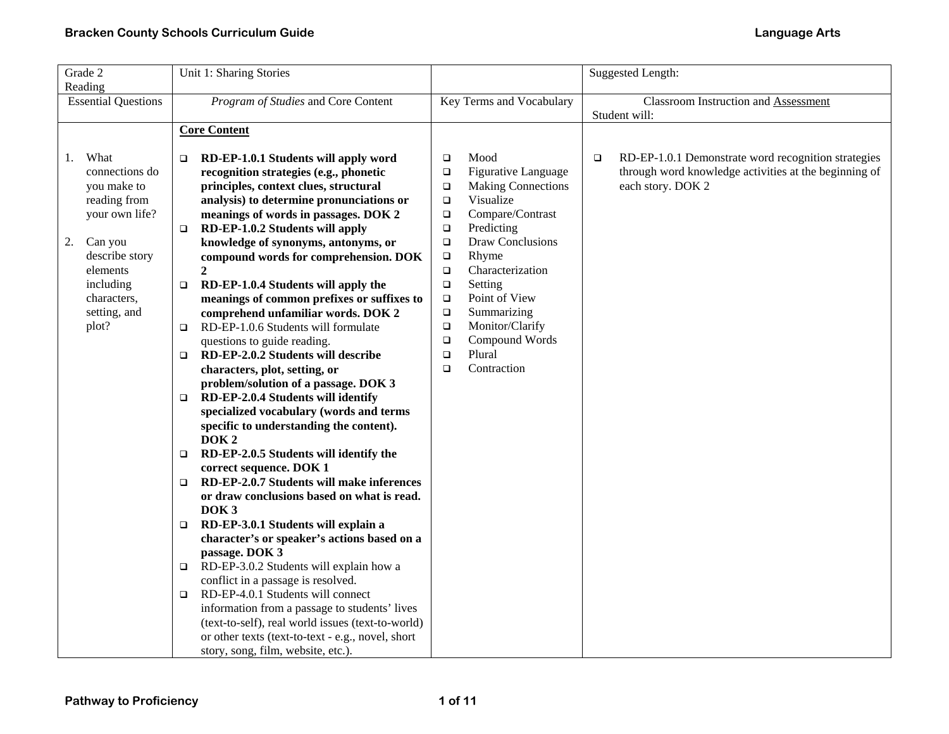| Grade 2<br>Reading                                                                                                                                                                | Unit 1: Sharing Stories                                                                                                                                                                                                                                                                                                                                                                                                                                                                                                                                                                                                                                                                                                                                                                                                                                                                                                                                                                                                                                                                                                                                                                                                                                                                                                                                                                                                                                                                                                                        |                                                                                                                                                                                                                                                                                                                                                                                                                                   | <b>Suggested Length:</b>                                                                                                                    |
|-----------------------------------------------------------------------------------------------------------------------------------------------------------------------------------|------------------------------------------------------------------------------------------------------------------------------------------------------------------------------------------------------------------------------------------------------------------------------------------------------------------------------------------------------------------------------------------------------------------------------------------------------------------------------------------------------------------------------------------------------------------------------------------------------------------------------------------------------------------------------------------------------------------------------------------------------------------------------------------------------------------------------------------------------------------------------------------------------------------------------------------------------------------------------------------------------------------------------------------------------------------------------------------------------------------------------------------------------------------------------------------------------------------------------------------------------------------------------------------------------------------------------------------------------------------------------------------------------------------------------------------------------------------------------------------------------------------------------------------------|-----------------------------------------------------------------------------------------------------------------------------------------------------------------------------------------------------------------------------------------------------------------------------------------------------------------------------------------------------------------------------------------------------------------------------------|---------------------------------------------------------------------------------------------------------------------------------------------|
| <b>Essential Questions</b>                                                                                                                                                        | Program of Studies and Core Content                                                                                                                                                                                                                                                                                                                                                                                                                                                                                                                                                                                                                                                                                                                                                                                                                                                                                                                                                                                                                                                                                                                                                                                                                                                                                                                                                                                                                                                                                                            | Key Terms and Vocabulary                                                                                                                                                                                                                                                                                                                                                                                                          | <b>Classroom Instruction and Assessment</b><br>Student will:                                                                                |
|                                                                                                                                                                                   | <b>Core Content</b>                                                                                                                                                                                                                                                                                                                                                                                                                                                                                                                                                                                                                                                                                                                                                                                                                                                                                                                                                                                                                                                                                                                                                                                                                                                                                                                                                                                                                                                                                                                            |                                                                                                                                                                                                                                                                                                                                                                                                                                   |                                                                                                                                             |
| What<br>1.<br>connections do<br>you make to<br>reading from<br>your own life?<br>Can you<br>2.<br>describe story<br>elements<br>including<br>characters,<br>setting, and<br>plot? | RD-EP-1.0.1 Students will apply word<br>$\Box$<br>recognition strategies (e.g., phonetic<br>principles, context clues, structural<br>analysis) to determine pronunciations or<br>meanings of words in passages. DOK 2<br>RD-EP-1.0.2 Students will apply<br>$\Box$<br>knowledge of synonyms, antonyms, or<br>compound words for comprehension. DOK<br>$\boldsymbol{2}$<br>RD-EP-1.0.4 Students will apply the<br>$\Box$<br>meanings of common prefixes or suffixes to<br>comprehend unfamiliar words. DOK 2<br>RD-EP-1.0.6 Students will formulate<br>$\Box$<br>questions to guide reading.<br>RD-EP-2.0.2 Students will describe<br>□<br>characters, plot, setting, or<br>problem/solution of a passage. DOK 3<br>RD-EP-2.0.4 Students will identify<br>$\Box$<br>specialized vocabulary (words and terms<br>specific to understanding the content).<br>DOK <sub>2</sub><br>RD-EP-2.0.5 Students will identify the<br>$\Box$<br>correct sequence. DOK 1<br>RD-EP-2.0.7 Students will make inferences<br>$\Box$<br>or draw conclusions based on what is read.<br>DOK <sub>3</sub><br>RD-EP-3.0.1 Students will explain a<br>$\Box$<br>character's or speaker's actions based on a<br>passage. DOK 3<br>RD-EP-3.0.2 Students will explain how a<br>$\Box$<br>conflict in a passage is resolved.<br>RD-EP-4.0.1 Students will connect<br>$\Box$<br>information from a passage to students' lives<br>(text-to-self), real world issues (text-to-world)<br>or other texts (text-to-text - e.g., novel, short<br>story, song, film, website, etc.). | Mood<br>$\Box$<br>Figurative Language<br>$\Box$<br><b>Making Connections</b><br>$\Box$<br>Visualize<br>$\Box$<br>Compare/Contrast<br>$\Box$<br>Predicting<br>$\Box$<br>Draw Conclusions<br>$\Box$<br>Rhyme<br>$\Box$<br>Characterization<br>$\Box$<br>$\Box$<br>Setting<br>Point of View<br>$\Box$<br>Summarizing<br>$\Box$<br>Monitor/Clarify<br>$\Box$<br>Compound Words<br>$\Box$<br>Plural<br>$\Box$<br>Contraction<br>$\Box$ | RD-EP-1.0.1 Demonstrate word recognition strategies<br>$\Box$<br>through word knowledge activities at the beginning of<br>each story. DOK 2 |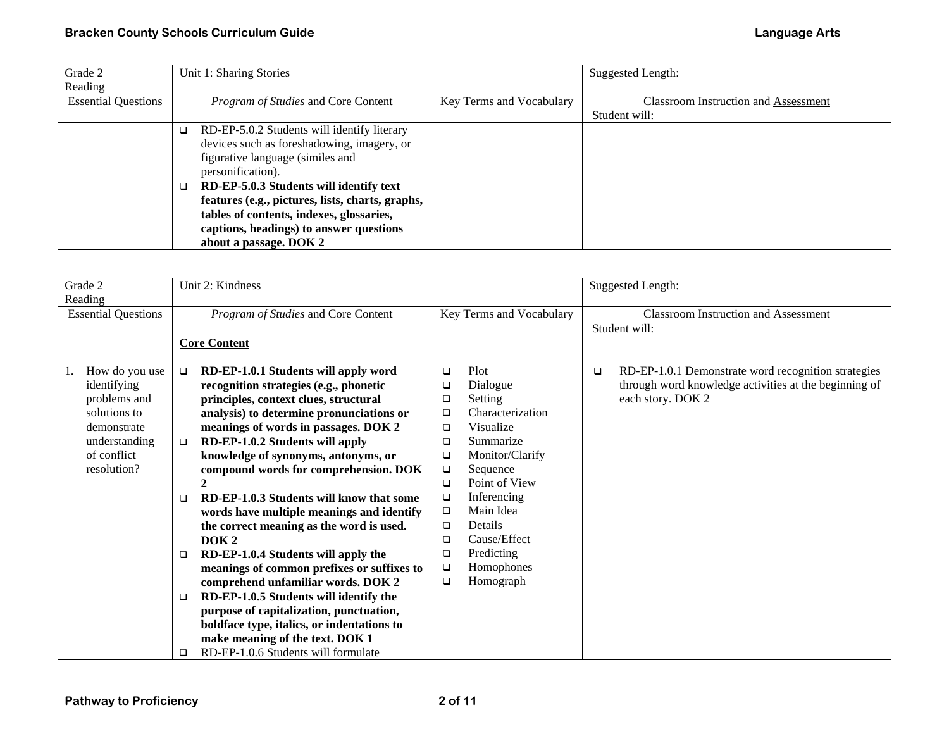| Grade 2                    | Unit 1: Sharing Stories                          |                          | <b>Suggested Length:</b>                    |
|----------------------------|--------------------------------------------------|--------------------------|---------------------------------------------|
| Reading                    |                                                  |                          |                                             |
| <b>Essential Questions</b> | Program of Studies and Core Content              | Key Terms and Vocabulary | <b>Classroom Instruction and Assessment</b> |
|                            |                                                  |                          | Student will:                               |
|                            | RD-EP-5.0.2 Students will identify literary<br>□ |                          |                                             |
|                            | devices such as foreshadowing, imagery, or       |                          |                                             |
|                            | figurative language (similes and                 |                          |                                             |
|                            | personification).                                |                          |                                             |
|                            | RD-EP-5.0.3 Students will identify text          |                          |                                             |
|                            | features (e.g., pictures, lists, charts, graphs, |                          |                                             |
|                            | tables of contents, indexes, glossaries,         |                          |                                             |
|                            | captions, headings) to answer questions          |                          |                                             |
|                            | about a passage. DOK 2                           |                          |                                             |

| Grade 2<br>Reading                                                                                                          | Unit 2: Kindness                                                                                                                                                                                                                                                                                                                                                                                                                                                                                                                                                                                                                                                                                                                                                                                                                                                                        |                                                                                                                                                                                                                                                                                                                                                   | <b>Suggested Length:</b>                                                                                                                    |
|-----------------------------------------------------------------------------------------------------------------------------|-----------------------------------------------------------------------------------------------------------------------------------------------------------------------------------------------------------------------------------------------------------------------------------------------------------------------------------------------------------------------------------------------------------------------------------------------------------------------------------------------------------------------------------------------------------------------------------------------------------------------------------------------------------------------------------------------------------------------------------------------------------------------------------------------------------------------------------------------------------------------------------------|---------------------------------------------------------------------------------------------------------------------------------------------------------------------------------------------------------------------------------------------------------------------------------------------------------------------------------------------------|---------------------------------------------------------------------------------------------------------------------------------------------|
| <b>Essential Questions</b>                                                                                                  | Program of Studies and Core Content                                                                                                                                                                                                                                                                                                                                                                                                                                                                                                                                                                                                                                                                                                                                                                                                                                                     | Key Terms and Vocabulary                                                                                                                                                                                                                                                                                                                          | <b>Classroom Instruction and Assessment</b><br>Student will:                                                                                |
|                                                                                                                             | <b>Core Content</b>                                                                                                                                                                                                                                                                                                                                                                                                                                                                                                                                                                                                                                                                                                                                                                                                                                                                     |                                                                                                                                                                                                                                                                                                                                                   |                                                                                                                                             |
| How do you use<br>identifying<br>problems and<br>solutions to<br>demonstrate<br>understanding<br>of conflict<br>resolution? | RD-EP-1.0.1 Students will apply word<br>$\Box$<br>recognition strategies (e.g., phonetic<br>principles, context clues, structural<br>analysis) to determine pronunciations or<br>meanings of words in passages. DOK 2<br>RD-EP-1.0.2 Students will apply<br>$\Box$<br>knowledge of synonyms, antonyms, or<br>compound words for comprehension. DOK<br>$\mathbf{2}$<br>RD-EP-1.0.3 Students will know that some<br>□<br>words have multiple meanings and identify<br>the correct meaning as the word is used.<br>DOK <sub>2</sub><br>RD-EP-1.0.4 Students will apply the<br>❏<br>meanings of common prefixes or suffixes to<br>comprehend unfamiliar words. DOK 2<br>RD-EP-1.0.5 Students will identify the<br>□<br>purpose of capitalization, punctuation,<br>boldface type, italics, or indentations to<br>make meaning of the text. DOK 1<br>RD-EP-1.0.6 Students will formulate<br>◻ | Plot<br>$\Box$<br>Dialogue<br>❏<br>Setting<br>□<br>Characterization<br>$\Box$<br>Visualize<br>$\Box$<br>Summarize<br>□<br>Monitor/Clarify<br>□<br>Sequence<br>$\Box$<br>Point of View<br>□<br>Inferencing<br>□<br>Main Idea<br>$\Box$<br>Details<br>$\Box$<br>Cause/Effect<br>□<br>Predicting<br>□<br>Homophones<br>$\Box$<br>Homograph<br>$\Box$ | RD-EP-1.0.1 Demonstrate word recognition strategies<br>$\Box$<br>through word knowledge activities at the beginning of<br>each story. DOK 2 |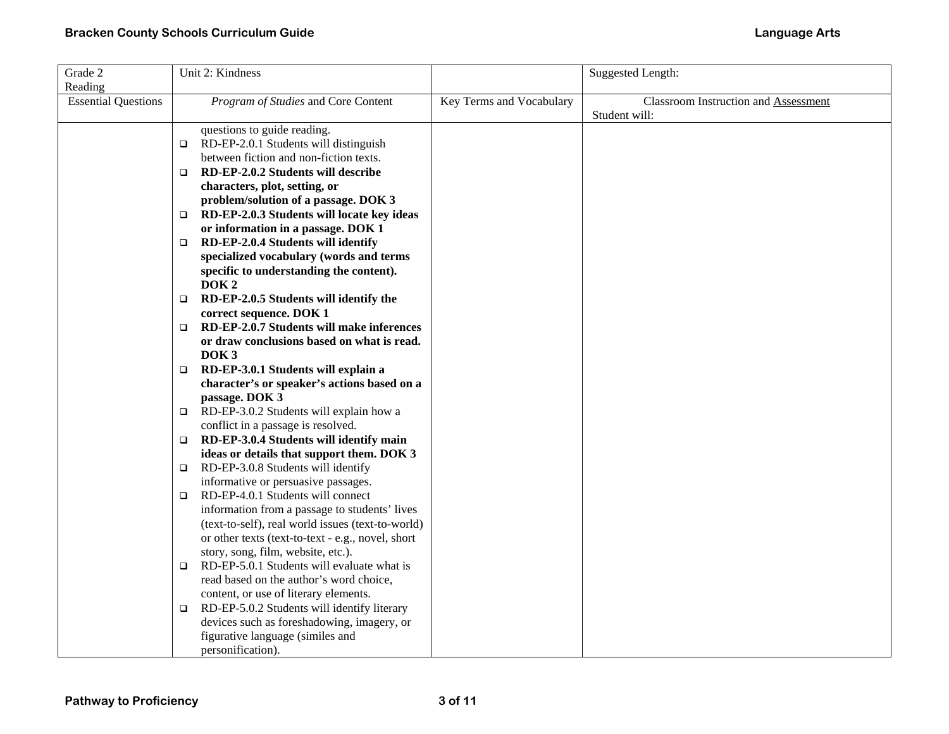| Grade 2                    | Unit 2: Kindness                                      |                          | Suggested Length:                           |
|----------------------------|-------------------------------------------------------|--------------------------|---------------------------------------------|
| Reading                    |                                                       |                          |                                             |
| <b>Essential Questions</b> | Program of Studies and Core Content                   | Key Terms and Vocabulary | <b>Classroom Instruction and Assessment</b> |
|                            |                                                       |                          | Student will:                               |
|                            | questions to guide reading.                           |                          |                                             |
|                            | RD-EP-2.0.1 Students will distinguish<br>$\Box$       |                          |                                             |
|                            | between fiction and non-fiction texts.                |                          |                                             |
|                            | RD-EP-2.0.2 Students will describe<br>$\Box$          |                          |                                             |
|                            | characters, plot, setting, or                         |                          |                                             |
|                            | problem/solution of a passage. DOK 3                  |                          |                                             |
|                            | RD-EP-2.0.3 Students will locate key ideas<br>$\Box$  |                          |                                             |
|                            | or information in a passage. DOK 1                    |                          |                                             |
|                            | RD-EP-2.0.4 Students will identify<br>$\Box$          |                          |                                             |
|                            | specialized vocabulary (words and terms               |                          |                                             |
|                            | specific to understanding the content).               |                          |                                             |
|                            | DOK <sub>2</sub>                                      |                          |                                             |
|                            | RD-EP-2.0.5 Students will identify the<br>$\Box$      |                          |                                             |
|                            | correct sequence. DOK 1                               |                          |                                             |
|                            | RD-EP-2.0.7 Students will make inferences<br>$\Box$   |                          |                                             |
|                            | or draw conclusions based on what is read.            |                          |                                             |
|                            | DOK <sub>3</sub>                                      |                          |                                             |
|                            | RD-EP-3.0.1 Students will explain a<br>$\Box$         |                          |                                             |
|                            | character's or speaker's actions based on a           |                          |                                             |
|                            | passage. DOK 3                                        |                          |                                             |
|                            | RD-EP-3.0.2 Students will explain how a<br>$\Box$     |                          |                                             |
|                            | conflict in a passage is resolved.                    |                          |                                             |
|                            | RD-EP-3.0.4 Students will identify main<br>$\Box$     |                          |                                             |
|                            | ideas or details that support them. DOK 3             |                          |                                             |
|                            | RD-EP-3.0.8 Students will identify<br>$\Box$          |                          |                                             |
|                            | informative or persuasive passages.                   |                          |                                             |
|                            | RD-EP-4.0.1 Students will connect<br>$\Box$           |                          |                                             |
|                            | information from a passage to students' lives         |                          |                                             |
|                            | (text-to-self), real world issues (text-to-world)     |                          |                                             |
|                            | or other texts (text-to-text - e.g., novel, short     |                          |                                             |
|                            | story, song, film, website, etc.).                    |                          |                                             |
|                            | RD-EP-5.0.1 Students will evaluate what is<br>$\Box$  |                          |                                             |
|                            | read based on the author's word choice,               |                          |                                             |
|                            | content, or use of literary elements.                 |                          |                                             |
|                            | RD-EP-5.0.2 Students will identify literary<br>$\Box$ |                          |                                             |
|                            | devices such as foreshadowing, imagery, or            |                          |                                             |
|                            | figurative language (similes and                      |                          |                                             |
|                            | personification).                                     |                          |                                             |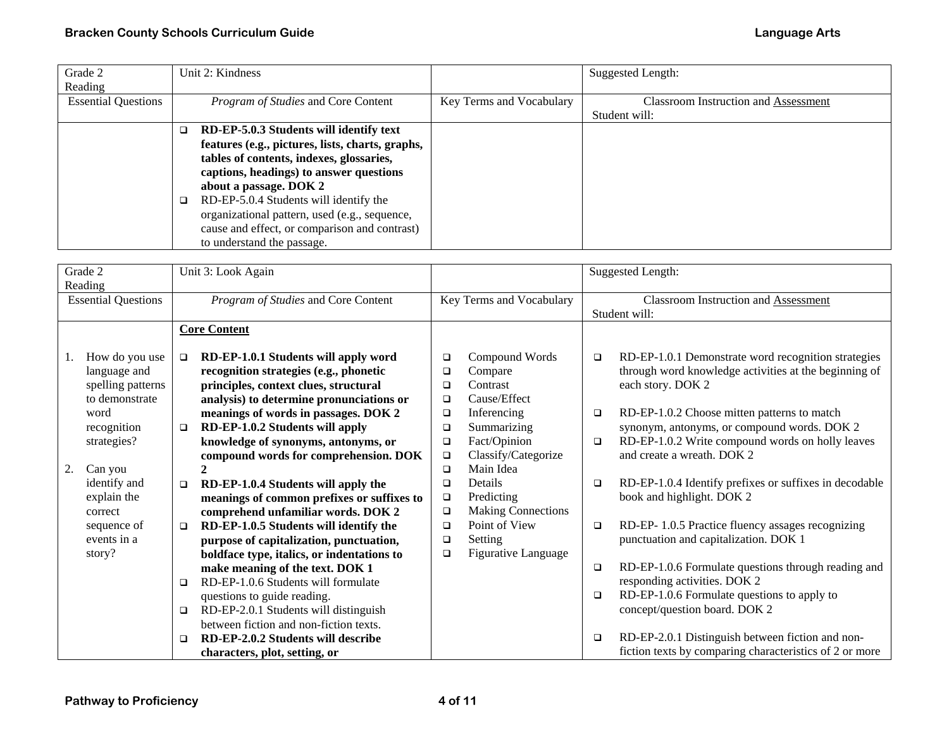| Grade 2                    | Unit 2: Kindness                                 |                          | Suggested Length:                           |
|----------------------------|--------------------------------------------------|--------------------------|---------------------------------------------|
| Reading                    |                                                  |                          |                                             |
| <b>Essential Questions</b> | <i>Program of Studies</i> and Core Content       | Key Terms and Vocabulary | <b>Classroom Instruction and Assessment</b> |
|                            |                                                  |                          | Student will:                               |
|                            | RD-EP-5.0.3 Students will identify text<br>▫     |                          |                                             |
|                            | features (e.g., pictures, lists, charts, graphs, |                          |                                             |
|                            | tables of contents, indexes, glossaries,         |                          |                                             |
|                            | captions, headings) to answer questions          |                          |                                             |
|                            | about a passage. DOK 2                           |                          |                                             |
|                            | RD-EP-5.0.4 Students will identify the<br>◻      |                          |                                             |
|                            | organizational pattern, used (e.g., sequence,    |                          |                                             |
|                            | cause and effect, or comparison and contrast)    |                          |                                             |
|                            | to understand the passage.                       |                          |                                             |

|    | Grade 2                    |        | Unit 3: Look Again                         |        |                            |        | <b>Suggested Length:</b>                                |
|----|----------------------------|--------|--------------------------------------------|--------|----------------------------|--------|---------------------------------------------------------|
|    | Reading                    |        |                                            |        |                            |        |                                                         |
|    | <b>Essential Questions</b> |        | Program of Studies and Core Content        |        | Key Terms and Vocabulary   |        | <b>Classroom Instruction and Assessment</b>             |
|    |                            |        |                                            |        |                            |        | Student will:                                           |
|    |                            |        | <b>Core Content</b>                        |        |                            |        |                                                         |
|    |                            |        |                                            |        |                            |        |                                                         |
|    | How do you use             | $\Box$ | RD-EP-1.0.1 Students will apply word       | □      | Compound Words             | $\Box$ | RD-EP-1.0.1 Demonstrate word recognition strategies     |
|    | language and               |        | recognition strategies (e.g., phonetic     | $\Box$ | Compare                    |        | through word knowledge activities at the beginning of   |
|    | spelling patterns          |        | principles, context clues, structural      | ◻      | Contrast                   |        | each story. DOK 2                                       |
|    | to demonstrate             |        | analysis) to determine pronunciations or   | □      | Cause/Effect               |        |                                                         |
|    | word                       |        | meanings of words in passages. DOK 2       | $\Box$ | Inferencing                | $\Box$ | RD-EP-1.0.2 Choose mitten patterns to match             |
|    | recognition                | $\Box$ | RD-EP-1.0.2 Students will apply            | □      | Summarizing                |        | synonym, antonyms, or compound words. DOK 2             |
|    | strategies?                |        | knowledge of synonyms, antonyms, or        | $\Box$ | Fact/Opinion               | $\Box$ | RD-EP-1.0.2 Write compound words on holly leaves        |
|    |                            |        | compound words for comprehension. DOK      | $\Box$ | Classify/Categorize        |        | and create a wreath. DOK 2                              |
| 2. | Can you                    |        |                                            | □      | Main Idea                  |        |                                                         |
|    | identify and               | $\Box$ | RD-EP-1.0.4 Students will apply the        | □      | Details                    | $\Box$ | RD-EP-1.0.4 Identify prefixes or suffixes in decodable  |
|    | explain the                |        | meanings of common prefixes or suffixes to | $\Box$ | Predicting                 |        | book and highlight. DOK 2                               |
|    | correct                    |        | comprehend unfamiliar words. DOK 2         | $\Box$ | <b>Making Connections</b>  |        |                                                         |
|    | sequence of                | $\Box$ | RD-EP-1.0.5 Students will identify the     | $\Box$ | Point of View              | $\Box$ | RD-EP-1.0.5 Practice fluency assages recognizing        |
|    | events in a                |        | purpose of capitalization, punctuation,    | □      | Setting                    |        | punctuation and capitalization. DOK 1                   |
|    | story?                     |        | boldface type, italics, or indentations to | $\Box$ | <b>Figurative Language</b> |        |                                                         |
|    |                            |        | make meaning of the text. DOK 1            |        |                            | $\Box$ | RD-EP-1.0.6 Formulate questions through reading and     |
|    |                            | $\Box$ | RD-EP-1.0.6 Students will formulate        |        |                            |        | responding activities. DOK 2                            |
|    |                            |        | questions to guide reading.                |        |                            | $\Box$ | RD-EP-1.0.6 Formulate questions to apply to             |
|    |                            | $\Box$ | RD-EP-2.0.1 Students will distinguish      |        |                            |        | concept/question board. DOK 2                           |
|    |                            |        | between fiction and non-fiction texts.     |        |                            |        |                                                         |
|    |                            | □      | RD-EP-2.0.2 Students will describe         |        |                            | $\Box$ | RD-EP-2.0.1 Distinguish between fiction and non-        |
|    |                            |        | characters, plot, setting, or              |        |                            |        | fiction texts by comparing characteristics of 2 or more |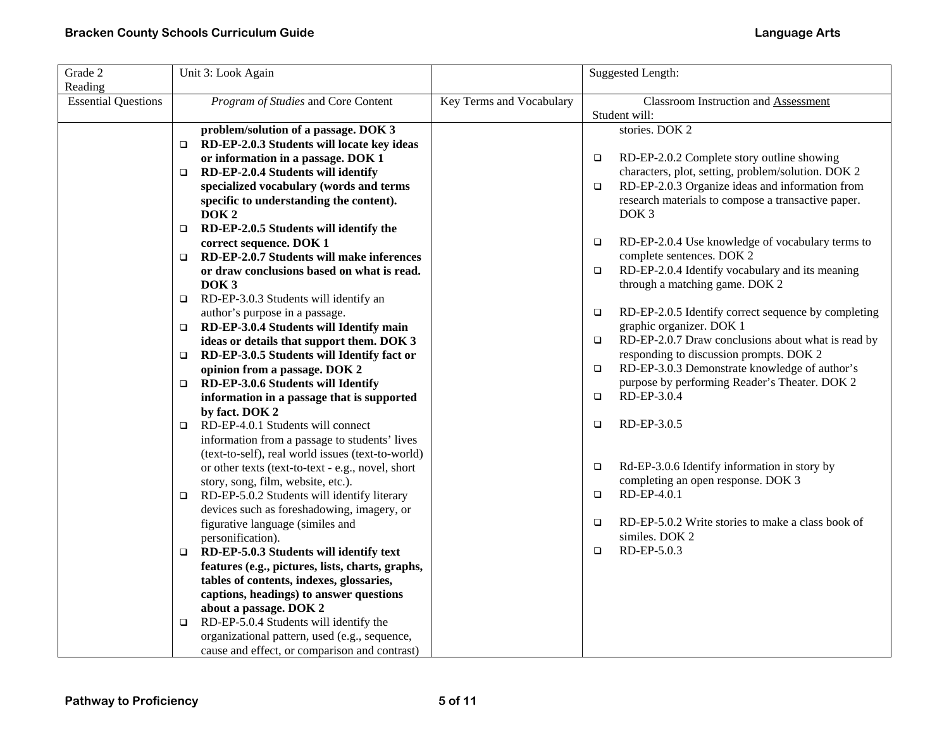| Grade 2                    | Unit 3: Look Again                                      |                          | <b>Suggested Length:</b>                                                                 |
|----------------------------|---------------------------------------------------------|--------------------------|------------------------------------------------------------------------------------------|
| Reading                    |                                                         |                          |                                                                                          |
| <b>Essential Questions</b> | Program of Studies and Core Content                     | Key Terms and Vocabulary | <b>Classroom Instruction and Assessment</b>                                              |
|                            |                                                         |                          | Student will:                                                                            |
|                            | problem/solution of a passage. DOK 3                    |                          | stories. DOK 2                                                                           |
|                            | RD-EP-2.0.3 Students will locate key ideas<br>$\Box$    |                          |                                                                                          |
|                            | or information in a passage. DOK 1                      |                          | RD-EP-2.0.2 Complete story outline showing<br>$\Box$                                     |
|                            | RD-EP-2.0.4 Students will identify<br>$\Box$            |                          | characters, plot, setting, problem/solution. DOK 2                                       |
|                            | specialized vocabulary (words and terms                 |                          | RD-EP-2.0.3 Organize ideas and information from<br>$\Box$                                |
|                            | specific to understanding the content).                 |                          | research materials to compose a transactive paper.                                       |
|                            | DOK <sub>2</sub>                                        |                          | DOK <sub>3</sub>                                                                         |
|                            | RD-EP-2.0.5 Students will identify the<br>$\Box$        |                          |                                                                                          |
|                            | correct sequence. DOK 1                                 |                          | RD-EP-2.0.4 Use knowledge of vocabulary terms to<br>$\Box$                               |
|                            | RD-EP-2.0.7 Students will make inferences<br>$\Box$     |                          | complete sentences. DOK 2                                                                |
|                            | or draw conclusions based on what is read.              |                          | RD-EP-2.0.4 Identify vocabulary and its meaning<br>$\Box$                                |
|                            | DOK <sub>3</sub>                                        |                          | through a matching game. DOK 2                                                           |
|                            | RD-EP-3.0.3 Students will identify an<br>□              |                          |                                                                                          |
|                            | author's purpose in a passage.                          |                          | RD-EP-2.0.5 Identify correct sequence by completing<br>$\Box$                            |
|                            | RD-EP-3.0.4 Students will Identify main<br>□            |                          | graphic organizer. DOK 1                                                                 |
|                            | ideas or details that support them. DOK 3               |                          | RD-EP-2.0.7 Draw conclusions about what is read by<br>$\Box$                             |
|                            | RD-EP-3.0.5 Students will Identify fact or<br>□         |                          | responding to discussion prompts. DOK 2<br>RD-EP-3.0.3 Demonstrate knowledge of author's |
|                            | opinion from a passage. DOK 2                           |                          | $\Box$<br>purpose by performing Reader's Theater. DOK 2                                  |
|                            | RD-EP-3.0.6 Students will Identify<br>$\Box$            |                          | RD-EP-3.0.4<br>$\Box$                                                                    |
|                            | information in a passage that is supported              |                          |                                                                                          |
|                            | by fact. DOK 2<br>RD-EP-4.0.1 Students will connect     |                          | $RD$ -EP-3.0.5<br>$\Box$                                                                 |
|                            | $\Box$<br>information from a passage to students' lives |                          |                                                                                          |
|                            | (text-to-self), real world issues (text-to-world)       |                          |                                                                                          |
|                            | or other texts (text-to-text - e.g., novel, short       |                          | Rd-EP-3.0.6 Identify information in story by<br>$\Box$                                   |
|                            | story, song, film, website, etc.).                      |                          | completing an open response. DOK 3                                                       |
|                            | RD-EP-5.0.2 Students will identify literary<br>$\Box$   |                          | RD-EP-4.0.1<br>$\Box$                                                                    |
|                            | devices such as foreshadowing, imagery, or              |                          |                                                                                          |
|                            | figurative language (similes and                        |                          | RD-EP-5.0.2 Write stories to make a class book of<br>$\Box$                              |
|                            | personification).                                       |                          | similes. DOK 2                                                                           |
|                            | RD-EP-5.0.3 Students will identify text<br>$\Box$       |                          | RD-EP-5.0.3<br>$\Box$                                                                    |
|                            | features (e.g., pictures, lists, charts, graphs,        |                          |                                                                                          |
|                            | tables of contents, indexes, glossaries,                |                          |                                                                                          |
|                            | captions, headings) to answer questions                 |                          |                                                                                          |
|                            | about a passage. DOK 2                                  |                          |                                                                                          |
|                            | RD-EP-5.0.4 Students will identify the<br>$\Box$        |                          |                                                                                          |
|                            | organizational pattern, used (e.g., sequence,           |                          |                                                                                          |
|                            | cause and effect, or comparison and contrast)           |                          |                                                                                          |
|                            |                                                         |                          |                                                                                          |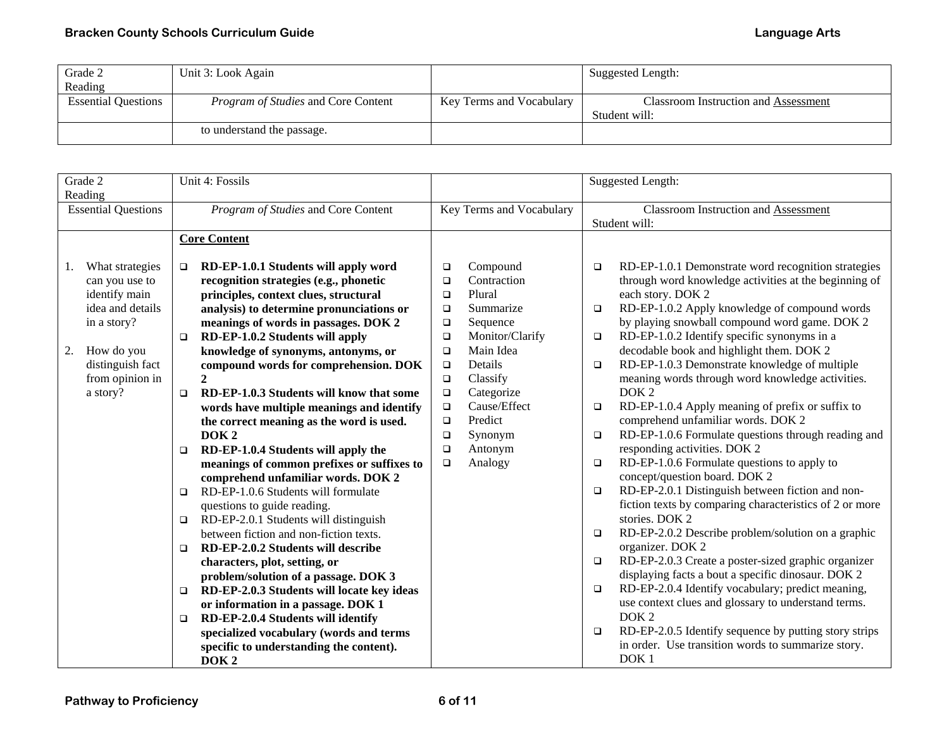| Grade 2                    | Unit 3: Look Again                         |                          | Suggested Length:                           |
|----------------------------|--------------------------------------------|--------------------------|---------------------------------------------|
| Reading                    |                                            |                          |                                             |
| <b>Essential Questions</b> | <i>Program of Studies</i> and Core Content | Key Terms and Vocabulary | <b>Classroom Instruction and Assessment</b> |
|                            |                                            |                          | Student will:                               |
|                            | to understand the passage.                 |                          |                                             |

| Grade 2<br>Reading                                                                                                                                           | Unit 4: Fossils                                                                                                                                                                                                                                                                                                                                                                                                                                                                                                                                                                                                                                                                                                                                                                                                                                                                                                                                                                                                                                                                                                                                                                                                                |                                                                                                                                                                                                                                                                                                                                                   | Suggested Length:                                                                                                                                                                                                                                                                                                                                                                                                                                                                                                                                                                                                                                                                                                                                                                                                                                                                                                                                                                                                                                                                                                                                                                                                                                                                                                                                                                                                                           |
|--------------------------------------------------------------------------------------------------------------------------------------------------------------|--------------------------------------------------------------------------------------------------------------------------------------------------------------------------------------------------------------------------------------------------------------------------------------------------------------------------------------------------------------------------------------------------------------------------------------------------------------------------------------------------------------------------------------------------------------------------------------------------------------------------------------------------------------------------------------------------------------------------------------------------------------------------------------------------------------------------------------------------------------------------------------------------------------------------------------------------------------------------------------------------------------------------------------------------------------------------------------------------------------------------------------------------------------------------------------------------------------------------------|---------------------------------------------------------------------------------------------------------------------------------------------------------------------------------------------------------------------------------------------------------------------------------------------------------------------------------------------------|---------------------------------------------------------------------------------------------------------------------------------------------------------------------------------------------------------------------------------------------------------------------------------------------------------------------------------------------------------------------------------------------------------------------------------------------------------------------------------------------------------------------------------------------------------------------------------------------------------------------------------------------------------------------------------------------------------------------------------------------------------------------------------------------------------------------------------------------------------------------------------------------------------------------------------------------------------------------------------------------------------------------------------------------------------------------------------------------------------------------------------------------------------------------------------------------------------------------------------------------------------------------------------------------------------------------------------------------------------------------------------------------------------------------------------------------|
| <b>Essential Questions</b>                                                                                                                                   | Program of Studies and Core Content                                                                                                                                                                                                                                                                                                                                                                                                                                                                                                                                                                                                                                                                                                                                                                                                                                                                                                                                                                                                                                                                                                                                                                                            | Key Terms and Vocabulary                                                                                                                                                                                                                                                                                                                          | <b>Classroom Instruction and Assessment</b><br>Student will:                                                                                                                                                                                                                                                                                                                                                                                                                                                                                                                                                                                                                                                                                                                                                                                                                                                                                                                                                                                                                                                                                                                                                                                                                                                                                                                                                                                |
|                                                                                                                                                              | <b>Core Content</b>                                                                                                                                                                                                                                                                                                                                                                                                                                                                                                                                                                                                                                                                                                                                                                                                                                                                                                                                                                                                                                                                                                                                                                                                            |                                                                                                                                                                                                                                                                                                                                                   |                                                                                                                                                                                                                                                                                                                                                                                                                                                                                                                                                                                                                                                                                                                                                                                                                                                                                                                                                                                                                                                                                                                                                                                                                                                                                                                                                                                                                                             |
| What strategies<br>can you use to<br>identify main<br>idea and details<br>in a story?<br>2.<br>How do you<br>distinguish fact<br>from opinion in<br>a story? | RD-EP-1.0.1 Students will apply word<br>$\Box$<br>recognition strategies (e.g., phonetic<br>principles, context clues, structural<br>analysis) to determine pronunciations or<br>meanings of words in passages. DOK 2<br>RD-EP-1.0.2 Students will apply<br>$\Box$<br>knowledge of synonyms, antonyms, or<br>compound words for comprehension. DOK<br>$\mathbf{2}$<br>RD-EP-1.0.3 Students will know that some<br>$\Box$<br>words have multiple meanings and identify<br>the correct meaning as the word is used.<br>DOK <sub>2</sub><br>RD-EP-1.0.4 Students will apply the<br>$\Box$<br>meanings of common prefixes or suffixes to<br>comprehend unfamiliar words. DOK 2<br>RD-EP-1.0.6 Students will formulate<br>$\Box$<br>questions to guide reading.<br>RD-EP-2.0.1 Students will distinguish<br>□<br>between fiction and non-fiction texts.<br>RD-EP-2.0.2 Students will describe<br>$\Box$<br>characters, plot, setting, or<br>problem/solution of a passage. DOK 3<br>RD-EP-2.0.3 Students will locate key ideas<br>□<br>or information in a passage. DOK 1<br>RD-EP-2.0.4 Students will identify<br>$\Box$<br>specialized vocabulary (words and terms<br>specific to understanding the content).<br>DOK <sub>2</sub> | Compound<br>$\Box$<br>Contraction<br>$\Box$<br>Plural<br>$\Box$<br>Summarize<br>$\Box$<br>Sequence<br>$\Box$<br>Monitor/Clarify<br>$\Box$<br>Main Idea<br>$\Box$<br>Details<br>$\Box$<br>Classify<br>$\Box$<br>Categorize<br>$\Box$<br>Cause/Effect<br>$\Box$<br>Predict<br>$\Box$<br>$\Box$<br>Synonym<br>Antonym<br>$\Box$<br>Analogy<br>$\Box$ | RD-EP-1.0.1 Demonstrate word recognition strategies<br>$\Box$<br>through word knowledge activities at the beginning of<br>each story. DOK 2<br>RD-EP-1.0.2 Apply knowledge of compound words<br>$\Box$<br>by playing snowball compound word game. DOK 2<br>RD-EP-1.0.2 Identify specific synonyms in a<br>$\Box$<br>decodable book and highlight them. DOK 2<br>RD-EP-1.0.3 Demonstrate knowledge of multiple<br>$\Box$<br>meaning words through word knowledge activities.<br>DOK <sub>2</sub><br>RD-EP-1.0.4 Apply meaning of prefix or suffix to<br>$\Box$<br>comprehend unfamiliar words. DOK 2<br>RD-EP-1.0.6 Formulate questions through reading and<br>$\Box$<br>responding activities. DOK 2<br>RD-EP-1.0.6 Formulate questions to apply to<br>$\Box$<br>concept/question board. DOK 2<br>RD-EP-2.0.1 Distinguish between fiction and non-<br>$\Box$<br>fiction texts by comparing characteristics of 2 or more<br>stories. DOK 2<br>RD-EP-2.0.2 Describe problem/solution on a graphic<br>$\Box$<br>organizer. DOK 2<br>RD-EP-2.0.3 Create a poster-sized graphic organizer<br>$\Box$<br>displaying facts a bout a specific dinosaur. DOK 2<br>RD-EP-2.0.4 Identify vocabulary; predict meaning,<br>$\Box$<br>use context clues and glossary to understand terms.<br>DOK <sub>2</sub><br>RD-EP-2.0.5 Identify sequence by putting story strips<br>$\Box$<br>in order. Use transition words to summarize story.<br>DOK <sub>1</sub> |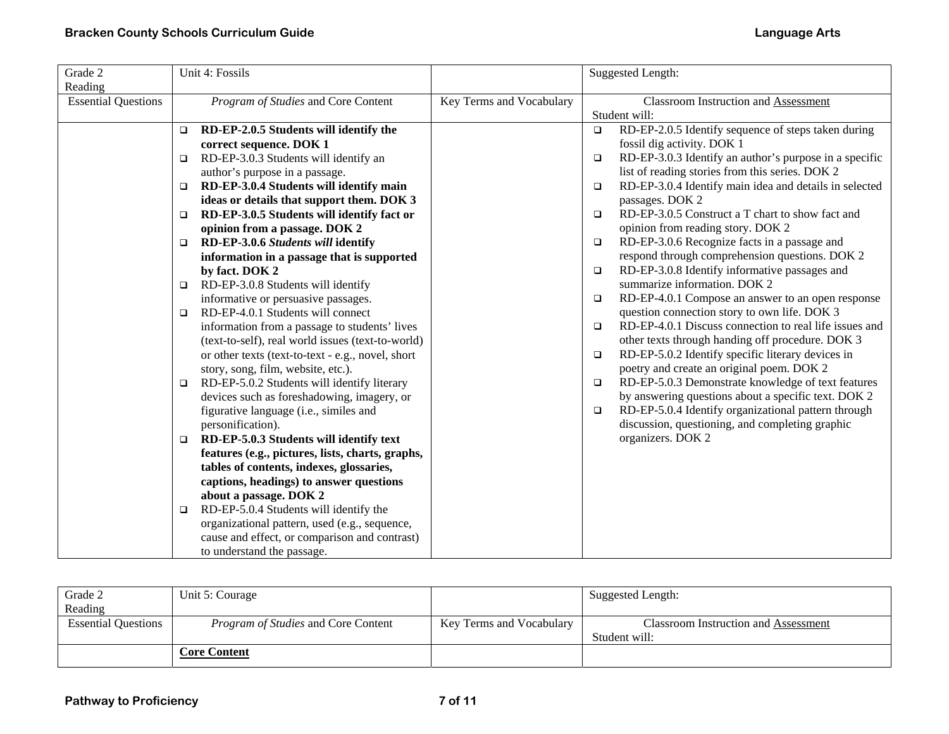| Grade 2                    |        | Unit 4: Fossils                                   |                          |        | Suggested Length:                                      |
|----------------------------|--------|---------------------------------------------------|--------------------------|--------|--------------------------------------------------------|
| Reading                    |        |                                                   |                          |        |                                                        |
| <b>Essential Questions</b> |        | Program of Studies and Core Content               | Key Terms and Vocabulary |        | <b>Classroom Instruction and Assessment</b>            |
|                            |        |                                                   |                          |        | Student will:                                          |
|                            | $\Box$ | RD-EP-2.0.5 Students will identify the            |                          | $\Box$ | RD-EP-2.0.5 Identify sequence of steps taken during    |
|                            |        | correct sequence. DOK 1                           |                          |        | fossil dig activity. DOK 1                             |
|                            | □      | RD-EP-3.0.3 Students will identify an             |                          | $\Box$ | RD-EP-3.0.3 Identify an author's purpose in a specific |
|                            |        | author's purpose in a passage.                    |                          |        | list of reading stories from this series. DOK 2        |
|                            | □      | RD-EP-3.0.4 Students will identify main           |                          | $\Box$ | RD-EP-3.0.4 Identify main idea and details in selected |
|                            |        | ideas or details that support them. DOK 3         |                          |        | passages. DOK 2                                        |
|                            | □      | RD-EP-3.0.5 Students will identify fact or        |                          | $\Box$ | RD-EP-3.0.5 Construct a T chart to show fact and       |
|                            |        | opinion from a passage. DOK 2                     |                          |        | opinion from reading story. DOK 2                      |
|                            | $\Box$ | RD-EP-3.0.6 Students will identify                |                          | $\Box$ | RD-EP-3.0.6 Recognize facts in a passage and           |
|                            |        | information in a passage that is supported        |                          |        | respond through comprehension questions. DOK 2         |
|                            |        | by fact. DOK 2                                    |                          | $\Box$ | RD-EP-3.0.8 Identify informative passages and          |
|                            | □      | RD-EP-3.0.8 Students will identify                |                          |        | summarize information. DOK 2                           |
|                            |        | informative or persuasive passages.               |                          | $\Box$ | RD-EP-4.0.1 Compose an answer to an open response      |
|                            | □      | RD-EP-4.0.1 Students will connect                 |                          |        | question connection story to own life. DOK 3           |
|                            |        | information from a passage to students' lives     |                          | $\Box$ | RD-EP-4.0.1 Discuss connection to real life issues and |
|                            |        | (text-to-self), real world issues (text-to-world) |                          |        | other texts through handing off procedure. DOK 3       |
|                            |        | or other texts (text-to-text - e.g., novel, short |                          | $\Box$ | RD-EP-5.0.2 Identify specific literary devices in      |
|                            |        | story, song, film, website, etc.).                |                          |        | poetry and create an original poem. DOK 2              |
|                            | $\Box$ | RD-EP-5.0.2 Students will identify literary       |                          | $\Box$ | RD-EP-5.0.3 Demonstrate knowledge of text features     |
|                            |        | devices such as foreshadowing, imagery, or        |                          |        | by answering questions about a specific text. DOK 2    |
|                            |        | figurative language (i.e., similes and            |                          | $\Box$ | RD-EP-5.0.4 Identify organizational pattern through    |
|                            |        | personification).                                 |                          |        | discussion, questioning, and completing graphic        |
|                            | □      | RD-EP-5.0.3 Students will identify text           |                          |        | organizers. DOK 2                                      |
|                            |        | features (e.g., pictures, lists, charts, graphs,  |                          |        |                                                        |
|                            |        | tables of contents, indexes, glossaries,          |                          |        |                                                        |
|                            |        | captions, headings) to answer questions           |                          |        |                                                        |
|                            |        | about a passage. DOK 2                            |                          |        |                                                        |
|                            | $\Box$ | RD-EP-5.0.4 Students will identify the            |                          |        |                                                        |
|                            |        | organizational pattern, used (e.g., sequence,     |                          |        |                                                        |
|                            |        | cause and effect, or comparison and contrast)     |                          |        |                                                        |
|                            |        | to understand the passage.                        |                          |        |                                                        |

| Grade 2                    | Unit 5: Courage                            |                          | Suggested Length:                           |
|----------------------------|--------------------------------------------|--------------------------|---------------------------------------------|
| Reading                    |                                            |                          |                                             |
| <b>Essential Questions</b> | <i>Program of Studies</i> and Core Content | Key Terms and Vocabulary | <b>Classroom Instruction and Assessment</b> |
|                            |                                            |                          | Student will:                               |
|                            | <b>Core Content</b>                        |                          |                                             |
|                            |                                            |                          |                                             |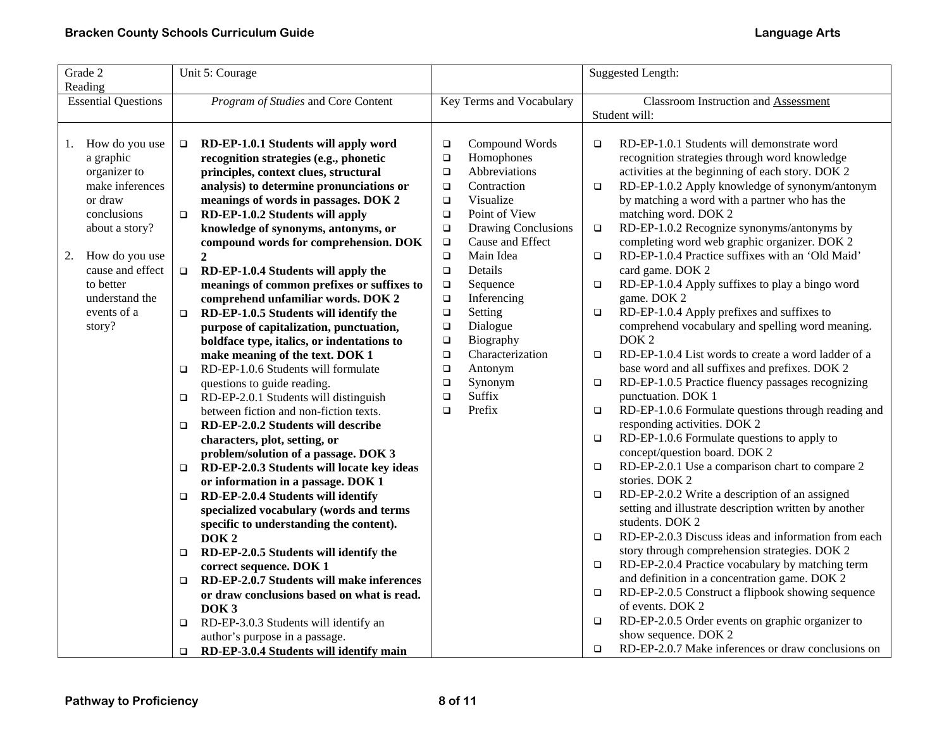| Grade 2<br>Reading         | Unit 5: Courage                                      |                               | Suggested Length:                                             |
|----------------------------|------------------------------------------------------|-------------------------------|---------------------------------------------------------------|
| <b>Essential Questions</b> | Program of Studies and Core Content                  | Key Terms and Vocabulary      | <b>Classroom Instruction and Assessment</b><br>Student will:  |
| How do you use<br>1.       | RD-EP-1.0.1 Students will apply word<br>$\Box$       | Compound Words<br>$\Box$      | RD-EP-1.0.1 Students will demonstrate word<br>$\Box$          |
| a graphic                  | recognition strategies (e.g., phonetic               | Homophones<br>$\Box$          | recognition strategies through word knowledge                 |
| organizer to               | principles, context clues, structural                | Abbreviations<br>$\Box$       | activities at the beginning of each story. DOK 2              |
| make inferences            | analysis) to determine pronunciations or             | Contraction<br>$\Box$         | RD-EP-1.0.2 Apply knowledge of synonym/antonym<br>$\Box$      |
| or draw                    | meanings of words in passages. DOK 2                 | Visualize<br>$\Box$           | by matching a word with a partner who has the                 |
| conclusions                | RD-EP-1.0.2 Students will apply<br>$\Box$            | Point of View<br>$\Box$       | matching word. DOK 2                                          |
| about a story?             | knowledge of synonyms, antonyms, or                  | Drawing Conclusions<br>$\Box$ | RD-EP-1.0.2 Recognize synonyms/antonyms by<br>$\Box$          |
|                            | compound words for comprehension. DOK                | Cause and Effect<br>$\Box$    | completing word web graphic organizer. DOK 2                  |
| How do you use<br>2.       | $\overline{2}$                                       | Main Idea<br>$\Box$           | RD-EP-1.0.4 Practice suffixes with an 'Old Maid'<br>$\Box$    |
| cause and effect           | RD-EP-1.0.4 Students will apply the<br>$\Box$        | Details<br>$\Box$             | card game. DOK 2                                              |
| to better                  | meanings of common prefixes or suffixes to           | Sequence<br>$\Box$            | RD-EP-1.0.4 Apply suffixes to play a bingo word<br>$\Box$     |
| understand the             | comprehend unfamiliar words. DOK 2                   | Inferencing<br>$\Box$         | game. DOK 2                                                   |
| events of a                | RD-EP-1.0.5 Students will identify the<br>$\Box$     | Setting<br>$\Box$             | RD-EP-1.0.4 Apply prefixes and suffixes to<br>$\Box$          |
| story?                     | purpose of capitalization, punctuation,              | Dialogue<br>$\Box$            | comprehend vocabulary and spelling word meaning.              |
|                            | boldface type, italics, or indentations to           | Biography<br>$\Box$           | DOK <sub>2</sub>                                              |
|                            | make meaning of the text. DOK 1                      | $\Box$<br>Characterization    | RD-EP-1.0.4 List words to create a word ladder of a<br>$\Box$ |
|                            | RD-EP-1.0.6 Students will formulate<br>$\Box$        | Antonym<br>$\Box$             | base word and all suffixes and prefixes. DOK 2                |
|                            | questions to guide reading.                          | $\Box$<br>Synonym             | RD-EP-1.0.5 Practice fluency passages recognizing<br>$\Box$   |
|                            | RD-EP-2.0.1 Students will distinguish<br>$\Box$      | Suffix<br>$\Box$              | punctuation. DOK 1                                            |
|                            | between fiction and non-fiction texts.               | Prefix<br>$\Box$              | RD-EP-1.0.6 Formulate questions through reading and<br>$\Box$ |
|                            | RD-EP-2.0.2 Students will describe<br>$\Box$         |                               | responding activities. DOK 2                                  |
|                            | characters, plot, setting, or                        |                               | RD-EP-1.0.6 Formulate questions to apply to<br>$\Box$         |
|                            | problem/solution of a passage. DOK 3                 |                               | concept/question board. DOK 2                                 |
|                            | RD-EP-2.0.3 Students will locate key ideas<br>$\Box$ |                               | RD-EP-2.0.1 Use a comparison chart to compare 2<br>$\Box$     |
|                            | or information in a passage. DOK 1                   |                               | stories. DOK 2                                                |
|                            | RD-EP-2.0.4 Students will identify<br>$\Box$         |                               | RD-EP-2.0.2 Write a description of an assigned<br>$\Box$      |
|                            | specialized vocabulary (words and terms              |                               | setting and illustrate description written by another         |
|                            | specific to understanding the content).              |                               | students. DOK 2                                               |
|                            | DOK <sub>2</sub>                                     |                               | RD-EP-2.0.3 Discuss ideas and information from each<br>$\Box$ |
|                            | RD-EP-2.0.5 Students will identify the<br>$\Box$     |                               | story through comprehension strategies. DOK 2                 |
|                            | correct sequence. DOK 1                              |                               | RD-EP-2.0.4 Practice vocabulary by matching term<br>$\Box$    |
|                            | RD-EP-2.0.7 Students will make inferences<br>$\Box$  |                               | and definition in a concentration game. DOK 2                 |
|                            | or draw conclusions based on what is read.           |                               | RD-EP-2.0.5 Construct a flipbook showing sequence<br>$\Box$   |
|                            | DOK <sub>3</sub>                                     |                               | of events. DOK 2                                              |
|                            | RD-EP-3.0.3 Students will identify an<br>$\Box$      |                               | RD-EP-2.0.5 Order events on graphic organizer to<br>$\Box$    |
|                            | author's purpose in a passage.                       |                               | show sequence. DOK 2                                          |
|                            | RD-EP-3.0.4 Students will identify main<br>$\Box$    |                               | RD-EP-2.0.7 Make inferences or draw conclusions on<br>$\Box$  |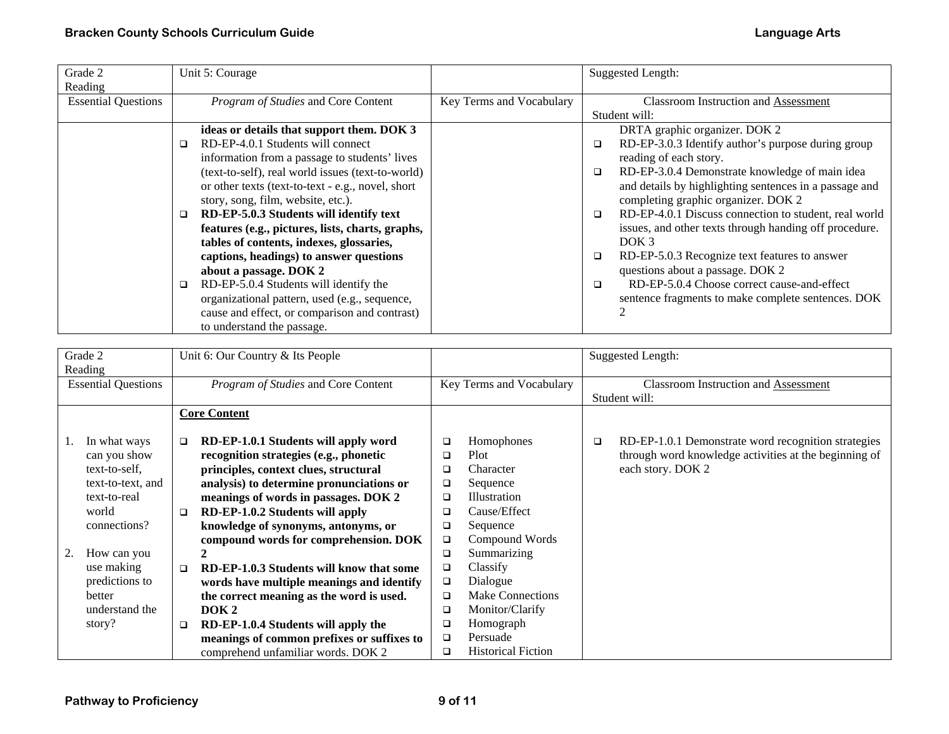| Grade 2                    | Unit 5: Courage                                   |                          | <b>Suggested Length:</b>                                        |  |
|----------------------------|---------------------------------------------------|--------------------------|-----------------------------------------------------------------|--|
| Reading                    |                                                   |                          |                                                                 |  |
| <b>Essential Questions</b> | Program of Studies and Core Content               | Key Terms and Vocabulary | <b>Classroom Instruction and Assessment</b>                     |  |
|                            |                                                   |                          | Student will:                                                   |  |
|                            | ideas or details that support them. DOK 3         |                          | DRTA graphic organizer. DOK 2                                   |  |
|                            | RD-EP-4.0.1 Students will connect                 |                          | RD-EP-3.0.3 Identify author's purpose during group<br>□         |  |
|                            | information from a passage to students' lives     |                          | reading of each story.                                          |  |
|                            | (text-to-self), real world issues (text-to-world) |                          | RD-EP-3.0.4 Demonstrate knowledge of main idea<br>$\Box$        |  |
|                            | or other texts (text-to-text - e.g., novel, short |                          | and details by highlighting sentences in a passage and          |  |
|                            | story, song, film, website, etc.).                |                          | completing graphic organizer. DOK 2                             |  |
|                            | RD-EP-5.0.3 Students will identify text<br>□      |                          | RD-EP-4.0.1 Discuss connection to student, real world<br>$\Box$ |  |
|                            | features (e.g., pictures, lists, charts, graphs,  |                          | issues, and other texts through handing off procedure.          |  |
|                            | tables of contents, indexes, glossaries,          |                          | DOK 3                                                           |  |
|                            | captions, headings) to answer questions           |                          | RD-EP-5.0.3 Recognize text features to answer<br>$\Box$         |  |
|                            | about a passage. DOK 2                            |                          | questions about a passage. DOK 2                                |  |
|                            | RD-EP-5.0.4 Students will identify the<br>$\Box$  |                          | RD-EP-5.0.4 Choose correct cause-and-effect<br>$\Box$           |  |
|                            | organizational pattern, used (e.g., sequence,     |                          | sentence fragments to make complete sentences. DOK              |  |
|                            | cause and effect, or comparison and contrast)     |                          |                                                                 |  |
|                            | to understand the passage.                        |                          |                                                                 |  |

|  | Grade 2                    |        | Unit 6: Our Country & Its People           |   |                           |   | <b>Suggested Length:</b>                              |
|--|----------------------------|--------|--------------------------------------------|---|---------------------------|---|-------------------------------------------------------|
|  | Reading                    |        |                                            |   |                           |   |                                                       |
|  | <b>Essential Questions</b> |        | Program of Studies and Core Content        |   | Key Terms and Vocabulary  |   | <b>Classroom Instruction and Assessment</b>           |
|  |                            |        |                                            |   |                           |   | Student will:                                         |
|  |                            |        | <b>Core Content</b>                        |   |                           |   |                                                       |
|  |                            |        |                                            |   |                           |   |                                                       |
|  | In what ways               |        | RD-EP-1.0.1 Students will apply word       | □ | Homophones                | □ | RD-EP-1.0.1 Demonstrate word recognition strategies   |
|  | can you show               |        | recognition strategies (e.g., phonetic     | □ | Plot                      |   | through word knowledge activities at the beginning of |
|  | text-to-self,              |        | principles, context clues, structural      | □ | Character                 |   | each story. DOK 2                                     |
|  | text-to-text, and          |        | analysis) to determine pronunciations or   | □ | Sequence                  |   |                                                       |
|  | text-to-real               |        | meanings of words in passages. DOK 2       | ▫ | Illustration              |   |                                                       |
|  | world                      | $\Box$ | RD-EP-1.0.2 Students will apply            | ❏ | Cause/Effect              |   |                                                       |
|  | connections?               |        | knowledge of synonyms, antonyms, or        | □ | Sequence                  |   |                                                       |
|  |                            |        | compound words for comprehension. DOK      | □ | Compound Words            |   |                                                       |
|  | How can you                |        | 2                                          | □ | Summarizing               |   |                                                       |
|  | use making                 | $\Box$ | RD-EP-1.0.3 Students will know that some   | □ | Classify                  |   |                                                       |
|  | predictions to             |        | words have multiple meanings and identify  | ▫ | Dialogue                  |   |                                                       |
|  | better                     |        | the correct meaning as the word is used.   | ▫ | <b>Make Connections</b>   |   |                                                       |
|  | understand the             |        | DOK <sub>2</sub>                           | □ | Monitor/Clarify           |   |                                                       |
|  | story?                     | $\Box$ | RD-EP-1.0.4 Students will apply the        | □ | Homograph                 |   |                                                       |
|  |                            |        | meanings of common prefixes or suffixes to | □ | Persuade                  |   |                                                       |
|  |                            |        | comprehend unfamiliar words. DOK 2         | ❏ | <b>Historical Fiction</b> |   |                                                       |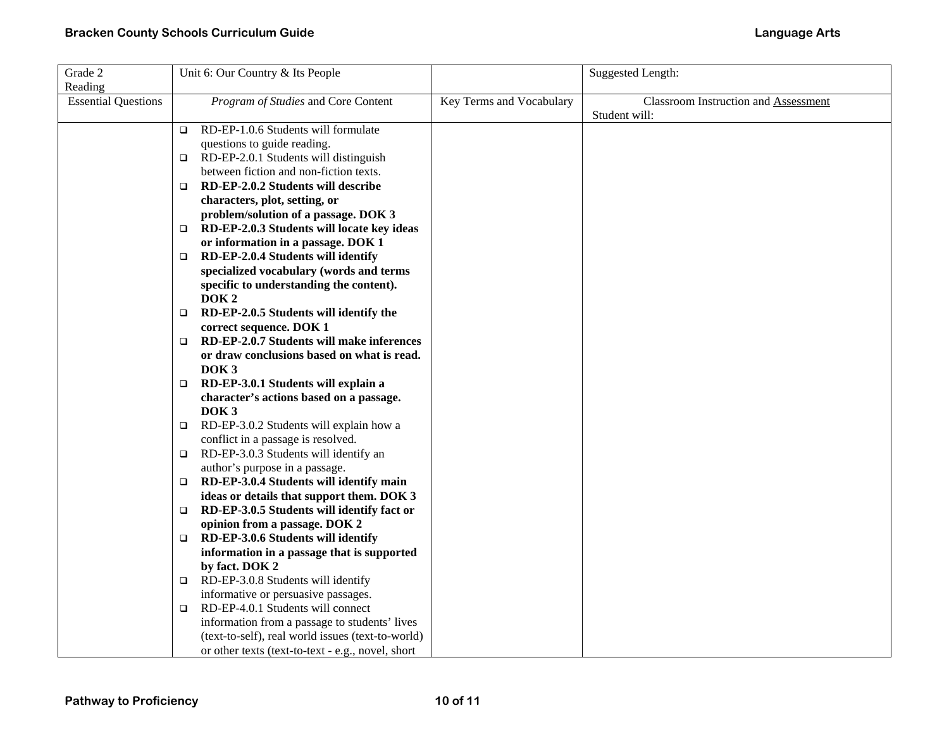| Grade 2<br>Reading         | Unit 6: Our Country & Its People                                               |                          | Suggested Length:                                            |
|----------------------------|--------------------------------------------------------------------------------|--------------------------|--------------------------------------------------------------|
| <b>Essential Questions</b> | Program of Studies and Core Content                                            | Key Terms and Vocabulary | <b>Classroom Instruction and Assessment</b><br>Student will: |
|                            | RD-EP-1.0.6 Students will formulate<br>$\Box$                                  |                          |                                                              |
|                            | questions to guide reading.                                                    |                          |                                                              |
|                            | RD-EP-2.0.1 Students will distinguish<br>$\Box$                                |                          |                                                              |
|                            | between fiction and non-fiction texts.                                         |                          |                                                              |
|                            | RD-EP-2.0.2 Students will describe<br>$\Box$                                   |                          |                                                              |
|                            | characters, plot, setting, or                                                  |                          |                                                              |
|                            | problem/solution of a passage. DOK 3                                           |                          |                                                              |
|                            | RD-EP-2.0.3 Students will locate key ideas<br>$\Box$                           |                          |                                                              |
|                            | or information in a passage. DOK 1                                             |                          |                                                              |
|                            | RD-EP-2.0.4 Students will identify<br>$\Box$                                   |                          |                                                              |
|                            | specialized vocabulary (words and terms                                        |                          |                                                              |
|                            | specific to understanding the content).                                        |                          |                                                              |
|                            | DOK <sub>2</sub>                                                               |                          |                                                              |
|                            | RD-EP-2.0.5 Students will identify the<br>$\Box$                               |                          |                                                              |
|                            | correct sequence. DOK 1<br>RD-EP-2.0.7 Students will make inferences<br>$\Box$ |                          |                                                              |
|                            | or draw conclusions based on what is read.                                     |                          |                                                              |
|                            | DOK <sub>3</sub>                                                               |                          |                                                              |
|                            | RD-EP-3.0.1 Students will explain a<br>$\Box$                                  |                          |                                                              |
|                            | character's actions based on a passage.                                        |                          |                                                              |
|                            | DOK <sub>3</sub>                                                               |                          |                                                              |
|                            | RD-EP-3.0.2 Students will explain how a<br>$\Box$                              |                          |                                                              |
|                            | conflict in a passage is resolved.                                             |                          |                                                              |
|                            | RD-EP-3.0.3 Students will identify an<br>$\Box$                                |                          |                                                              |
|                            | author's purpose in a passage.                                                 |                          |                                                              |
|                            | RD-EP-3.0.4 Students will identify main<br>$\Box$                              |                          |                                                              |
|                            | ideas or details that support them. DOK 3                                      |                          |                                                              |
|                            | RD-EP-3.0.5 Students will identify fact or<br>$\Box$                           |                          |                                                              |
|                            | opinion from a passage. DOK 2                                                  |                          |                                                              |
|                            | RD-EP-3.0.6 Students will identify<br>$\Box$                                   |                          |                                                              |
|                            | information in a passage that is supported                                     |                          |                                                              |
|                            | by fact. DOK 2                                                                 |                          |                                                              |
|                            | RD-EP-3.0.8 Students will identify<br>$\Box$                                   |                          |                                                              |
|                            | informative or persuasive passages.                                            |                          |                                                              |
|                            | RD-EP-4.0.1 Students will connect<br>$\Box$                                    |                          |                                                              |
|                            | information from a passage to students' lives                                  |                          |                                                              |
|                            | (text-to-self), real world issues (text-to-world)                              |                          |                                                              |
|                            | or other texts (text-to-text - e.g., novel, short                              |                          |                                                              |